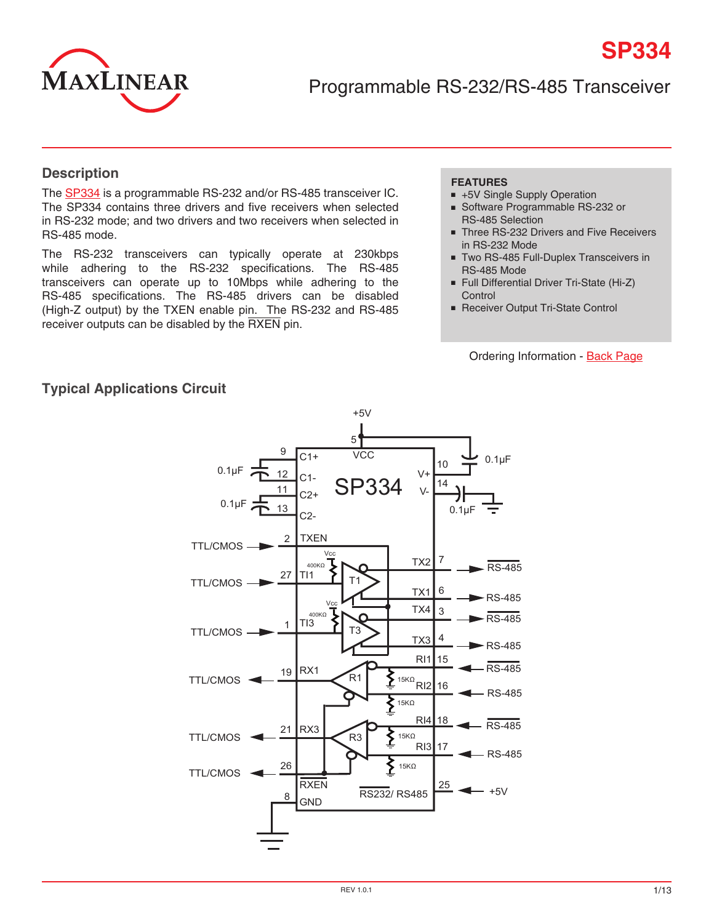

Programmable RS-232/RS-485 Transceiver

#### **Description**

The [SP334](http://www.exar.com/SP334) is a programmable RS-232 and/or RS-485 transceiver IC. The SP334 contains three drivers and five receivers when selected in RS-232 mode; and two drivers and two receivers when selected in RS-485 mode.

The RS-232 transceivers can typically operate at 230kbps while adhering to the RS-232 specifications. The RS-485 transceivers can operate up to 10Mbps while adhering to the RS-485 specifications. The RS-485 drivers can be disabled (High-Z output) by the TXEN enable pin. The RS-232 and RS-485 receiver outputs can be disabled by the RXEN pin.

#### **FEATURES**

- +5V Single Supply Operation
- Software Programmable RS-232 or RS-485 Selection
- Three RS-232 Drivers and Five Receivers in RS-232 Mode

**SP334**

- Two RS-485 Full-Duplex Transceivers in RS-485 Mode
- Full Differential Driver Tri-State (Hi-Z) **Control**
- Receiver Output Tri-State Control

Ordering Information - [Back Page](#page-12-0)

#### **Typical Applications Circuit**

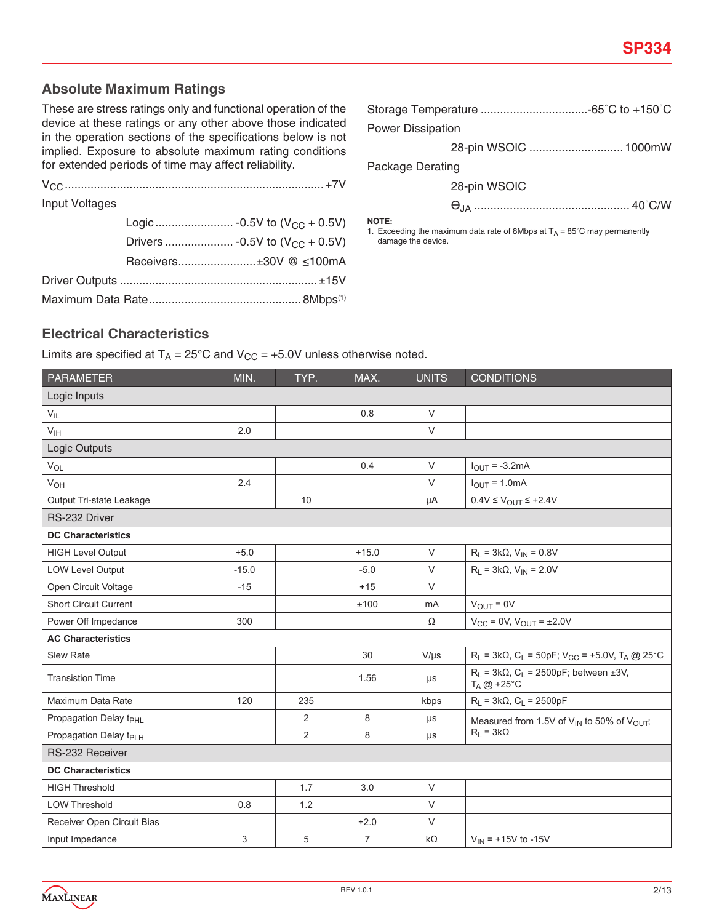## **Absolute Maximum Ratings**

These are stress ratings only and functional operation of the device at these ratings or any other above those indicated in the operation sections of the specifications below is not implied. Exposure to absolute maximum rating conditions for extended periods of time may affect reliability.

| Input Voltages |                        |  |
|----------------|------------------------|--|
|                |                        |  |
|                |                        |  |
|                | Receivers±30V @ ≤100mA |  |
|                |                        |  |
|                |                        |  |

| <b>Power Dissipation</b> |                      |  |  |  |  |
|--------------------------|----------------------|--|--|--|--|
|                          | 28-pin WSOIC  1000mW |  |  |  |  |
| <b>Package Derating</b>  |                      |  |  |  |  |

28-pin WSOIC

ѲJA ................................................ 40˚C/W

**NOTE:**

1. Exceeding the maximum data rate of 8Mbps at  $T_A = 85^\circ \text{C}$  may permanently damage the device.

## **Electrical Characteristics**

Limits are specified at  $T_A = 25^{\circ}C$  and  $V_{CC} = +5.0V$  unless otherwise noted.

| <b>PARAMETER</b>                   | MIN.    | TYP.           | MAX.           | <b>UNITS</b> | <b>CONDITIONS</b>                                                                  |
|------------------------------------|---------|----------------|----------------|--------------|------------------------------------------------------------------------------------|
| Logic Inputs                       |         |                |                |              |                                                                                    |
| $V_{IL}$                           |         |                | 0.8            | $\vee$       |                                                                                    |
| $V_{\text{IH}}$                    | 2.0     |                |                | $\vee$       |                                                                                    |
| Logic Outputs                      |         |                |                |              |                                                                                    |
| $V_{OL}$                           |         |                | 0.4            | $\vee$       | $I_{OUT} = -3.2mA$                                                                 |
| V <sub>OH</sub>                    | 2.4     |                |                | $\vee$       | $I_{OUT} = 1.0mA$                                                                  |
| Output Tri-state Leakage           |         | 10             |                | μA           | $0.4V \leq V_{\text{OUT}} \leq +2.4V$                                              |
| RS-232 Driver                      |         |                |                |              |                                                                                    |
| <b>DC Characteristics</b>          |         |                |                |              |                                                                                    |
| <b>HIGH Level Output</b>           | $+5.0$  |                | $+15.0$        | $\vee$       | $R_L = 3k\Omega$ , $V_{IN} = 0.8V$                                                 |
| <b>LOW Level Output</b>            | $-15.0$ |                | $-5.0$         | $\vee$       | $R_L = 3k\Omega$ , $V_{IN} = 2.0V$                                                 |
| Open Circuit Voltage               | $-15$   |                | $+15$          | $\vee$       |                                                                                    |
| <b>Short Circuit Current</b>       |         |                | ±100           | mA           | $V_{OUT} = 0V$                                                                     |
| Power Off Impedance                | 300     |                |                | Ω            | $V_{CC} = 0V$ , $V_{OUT} = \pm 2.0V$                                               |
| <b>AC Characteristics</b>          |         |                |                |              |                                                                                    |
| <b>Slew Rate</b>                   |         |                | 30             | $V/\mu s$    | $R_L$ = 3kΩ, C <sub>L</sub> = 50pF; V <sub>CC</sub> = +5.0V, T <sub>A</sub> @ 25°C |
| <b>Transistion Time</b>            |         |                | 1.56           | $\mu s$      | $R_L$ = 3k $\Omega$ , $C_L$ = 2500pF; between ±3V,<br>$T_A @ +25^\circ C$          |
| Maximum Data Rate                  | 120     | 235            |                | kbps         | $R_L = 3k\Omega$ , $C_L = 2500pF$                                                  |
| Propagation Delay t <sub>PHL</sub> |         | $\overline{2}$ | 8              | μs           | Measured from 1.5V of V <sub>IN</sub> to 50% of V <sub>OUT</sub> ;                 |
| Propagation Delay t <sub>PLH</sub> |         | 2              | 8              | μs           | $R_L = 3k\Omega$                                                                   |
| <b>RS-232 Receiver</b>             |         |                |                |              |                                                                                    |
| <b>DC Characteristics</b>          |         |                |                |              |                                                                                    |
| <b>HIGH Threshold</b>              |         | 1.7            | 3.0            | $\vee$       |                                                                                    |
| <b>LOW Threshold</b>               | 0.8     | 1.2            |                | $\vee$       |                                                                                    |
| Receiver Open Circuit Bias         |         |                | $+2.0$         | $\vee$       |                                                                                    |
| Input Impedance                    | 3       | 5              | $\overline{7}$ | $k\Omega$    | $V_{IN}$ = +15V to -15V                                                            |

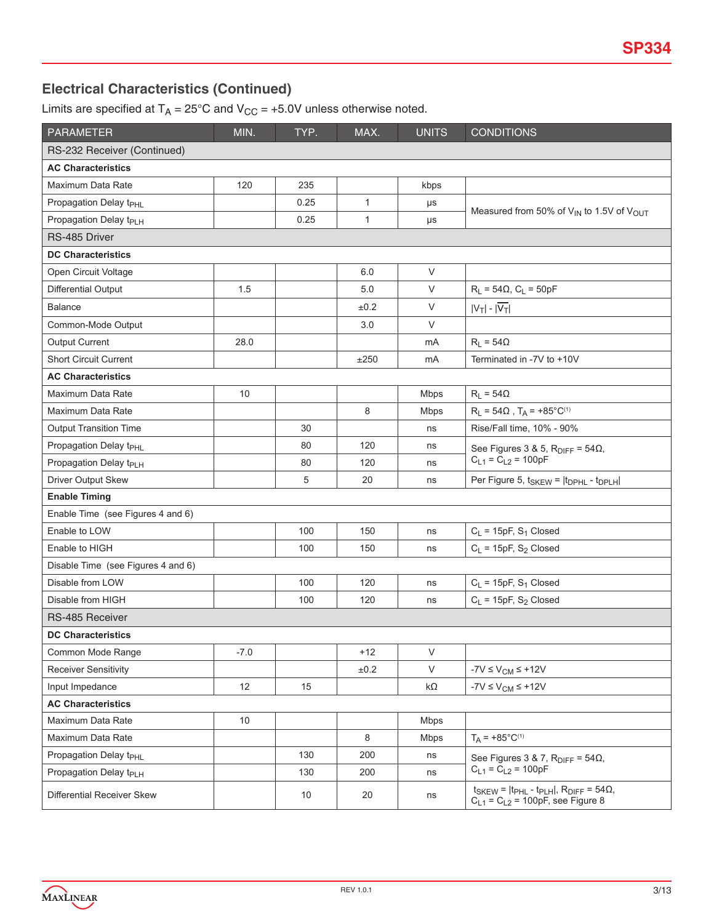# **Electrical Characteristics (Continued)**

Limits are specified at  $T_A = 25^{\circ}$ C and  $V_{CC} = +5.0V$  unless otherwise noted.

| <b>PARAMETER</b>                   | MIN.   | TYP. | MAX.         | <b>UNITS</b> | <b>CONDITIONS</b>                                                                                             |
|------------------------------------|--------|------|--------------|--------------|---------------------------------------------------------------------------------------------------------------|
| RS-232 Receiver (Continued)        |        |      |              |              |                                                                                                               |
| <b>AC Characteristics</b>          |        |      |              |              |                                                                                                               |
| Maximum Data Rate                  | 120    | 235  |              | kbps         |                                                                                                               |
| Propagation Delay t <sub>PHL</sub> |        | 0.25 | $\mathbf{1}$ | μs           |                                                                                                               |
| Propagation Delay t <sub>PLH</sub> |        | 0.25 | $\mathbf{1}$ | $\mu s$      | Measured from 50% of V <sub>IN</sub> to 1.5V of V <sub>OUT</sub>                                              |
| RS-485 Driver                      |        |      |              |              |                                                                                                               |
| <b>DC Characteristics</b>          |        |      |              |              |                                                                                                               |
| Open Circuit Voltage               |        |      | 6.0          | V            |                                                                                                               |
| Differential Output                | 1.5    |      | 5.0          | V            | $R_L = 54\Omega$ , $C_L = 50pF$                                                                               |
| <b>Balance</b>                     |        |      | ±0.2         | V            | $ V_T $ - $ \overline{V_T} $                                                                                  |
| Common-Mode Output                 |        |      | 3.0          | V            |                                                                                                               |
| <b>Output Current</b>              | 28.0   |      |              | mA           | $R_L = 54\Omega$                                                                                              |
| <b>Short Circuit Current</b>       |        |      | ±250         | mA           | Terminated in -7V to +10V                                                                                     |
| <b>AC Characteristics</b>          |        |      |              |              |                                                                                                               |
| Maximum Data Rate                  | 10     |      |              | <b>Mbps</b>  | $R_L = 54\Omega$                                                                                              |
| Maximum Data Rate                  |        |      | 8            | <b>Mbps</b>  | $R_L = 54\Omega$ , $T_A = +85^{\circ}C^{(1)}$                                                                 |
| <b>Output Transition Time</b>      |        | 30   |              | ns           | Rise/Fall time, 10% - 90%                                                                                     |
| Propagation Delay t <sub>PHL</sub> |        | 80   | 120          | ns           | See Figures 3 & 5, $R_{\text{DIFF}} = 54\Omega$ ,                                                             |
| Propagation Delay t <sub>PLH</sub> |        | 80   | 120          | ns           | $C_{L1} = C_{L2} = 100pF$                                                                                     |
| Driver Output Skew                 |        | 5    | 20           | ns           | Per Figure 5, t <sub>SKEW</sub> =  t <sub>DPHL</sub> - t <sub>DPLH</sub>                                      |
| <b>Enable Timing</b>               |        |      |              |              |                                                                                                               |
| Enable Time (see Figures 4 and 6)  |        |      |              |              |                                                                                                               |
| Enable to LOW                      |        | 100  | 150          | ns           | $C_L$ = 15pF, S <sub>1</sub> Closed                                                                           |
| Enable to HIGH                     |        | 100  | 150          | ns           | $C_L$ = 15pF, S <sub>2</sub> Closed                                                                           |
| Disable Time (see Figures 4 and 6) |        |      |              |              |                                                                                                               |
| Disable from LOW                   |        | 100  | 120          | ns           | $C_L$ = 15pF, S <sub>1</sub> Closed                                                                           |
| Disable from HIGH                  |        | 100  | 120          | ns           | $C_L$ = 15pF, S <sub>2</sub> Closed                                                                           |
| RS-485 Receiver                    |        |      |              |              |                                                                                                               |
| <b>DC Characteristics</b>          |        |      |              |              |                                                                                                               |
| Common Mode Range                  | $-7.0$ |      | $+12$        | V            |                                                                                                               |
| <b>Receiver Sensitivity</b>        |        |      | $\pm 0.2$    | V            | $-7V \leq V_{CM} \leq +12V$                                                                                   |
| Input Impedance                    | 12     | 15   |              | kΩ           | $-7V \leq V_{CM} \leq +12V$                                                                                   |
| <b>AC Characteristics</b>          |        |      |              |              |                                                                                                               |
| Maximum Data Rate                  | 10     |      |              | <b>Mbps</b>  |                                                                                                               |
| Maximum Data Rate                  |        |      | 8            | <b>Mbps</b>  | $T_A = +85^{\circ}C^{(1)}$                                                                                    |
| Propagation Delay t <sub>PHL</sub> |        | 130  | 200          | ns           | See Figures 3 & 7, $R_{\text{DIFF}} = 54\Omega$ ,                                                             |
| Propagation Delay t <sub>PLH</sub> |        | 130  | 200          | ns           | $C_{L1} = C_{L2} = 100pF$                                                                                     |
| Differential Receiver Skew         |        | 10   | 20           | ns           | $t_{SKEW}$ = $ t_{PHL}$ - $t_{PLH} $ , $R_{DIFF}$ = 54 $\Omega$ ,<br>$C_{L1} = C_{L2} = 100pF$ , see Figure 8 |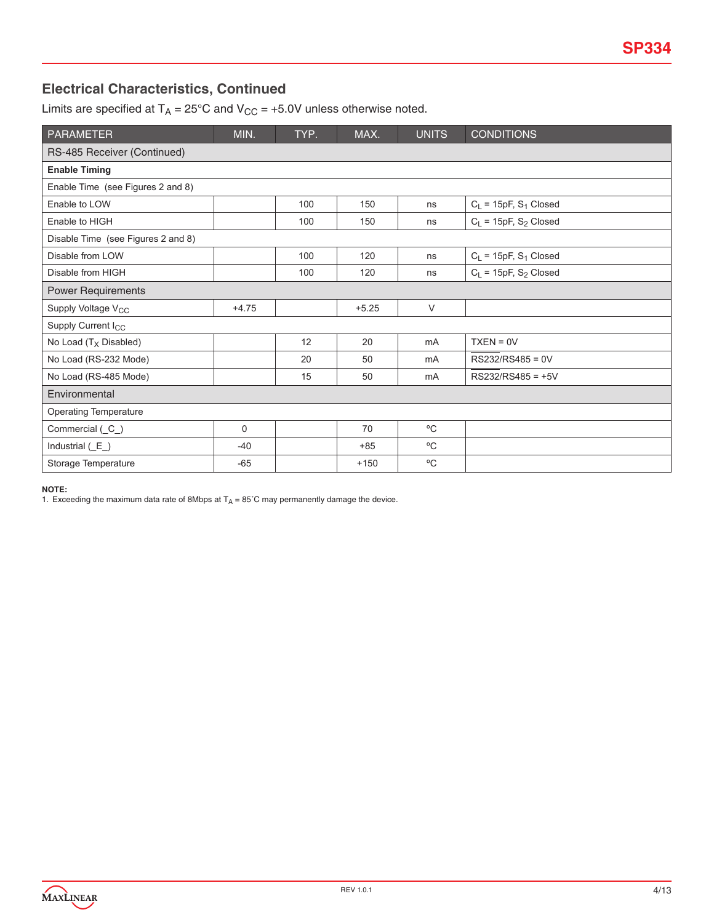## **Electrical Characteristics, Continued**

Limits are specified at  $T_A = 25^{\circ}$ C and  $V_{CC} = +5.0V$  unless otherwise noted.

| <b>PARAMETER</b>                   | MIN.    | TYP. | MAX.    | <b>UNITS</b> | <b>CONDITIONS</b>                   |
|------------------------------------|---------|------|---------|--------------|-------------------------------------|
| RS-485 Receiver (Continued)        |         |      |         |              |                                     |
| <b>Enable Timing</b>               |         |      |         |              |                                     |
| Enable Time (see Figures 2 and 8)  |         |      |         |              |                                     |
| Enable to LOW                      |         | 100  | 150     | ns           | $C_L$ = 15pF, S <sub>1</sub> Closed |
| Enable to HIGH                     |         | 100  | 150     | ns           | $C_L$ = 15pF, S <sub>2</sub> Closed |
| Disable Time (see Figures 2 and 8) |         |      |         |              |                                     |
| Disable from LOW                   |         | 100  | 120     | ns           | $C_L$ = 15pF, S <sub>1</sub> Closed |
| Disable from HIGH                  |         | 100  | 120     | ns           | $C_L$ = 15pF, S <sub>2</sub> Closed |
| <b>Power Requirements</b>          |         |      |         |              |                                     |
| Supply Voltage V <sub>CC</sub>     | $+4.75$ |      | $+5.25$ | $\vee$       |                                     |
| Supply Current I <sub>CC</sub>     |         |      |         |              |                                     |
| No Load $(T_X$ Disabled)           |         | 12   | 20      | mA           | $TXEN = 0V$                         |
| No Load (RS-232 Mode)              |         | 20   | 50      | mA           | RS232/RS485 = 0V                    |
| No Load (RS-485 Mode)              |         | 15   | 50      | mA           | $RS232/RS485 = +5V$                 |
| Environmental                      |         |      |         |              |                                     |
| <b>Operating Temperature</b>       |         |      |         |              |                                     |
| Commercial (C_)                    | 0       |      | 70      | °C           |                                     |
| Industrial $(E_+)$                 | $-40$   |      | $+85$   | °C           |                                     |
| Storage Temperature                | $-65$   |      | $+150$  | $^{\circ}$ C |                                     |

**NOTE:**

1. Exceeding the maximum data rate of 8Mbps at  $T_A = 85^\circ$ C may permanently damage the device.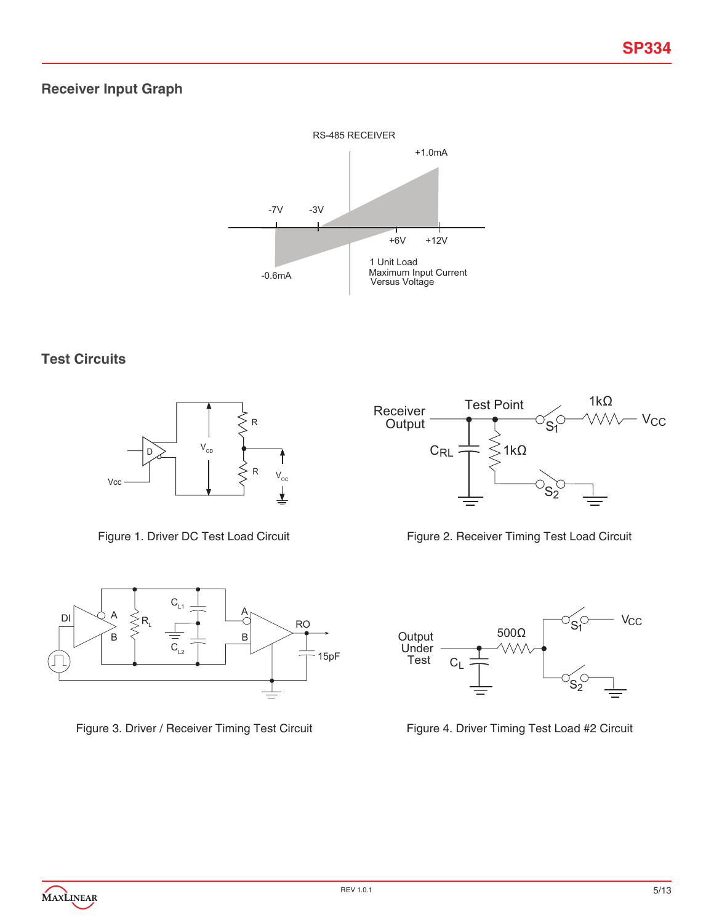# **Receiver Input Graph**



## **Test Circuits**



Figure 1. Driver DC Test Load Circuit



Figure 3. Driver / Receiver Timing Test Circuit







Figure 4. Driver Timing Test Load #2 Circuit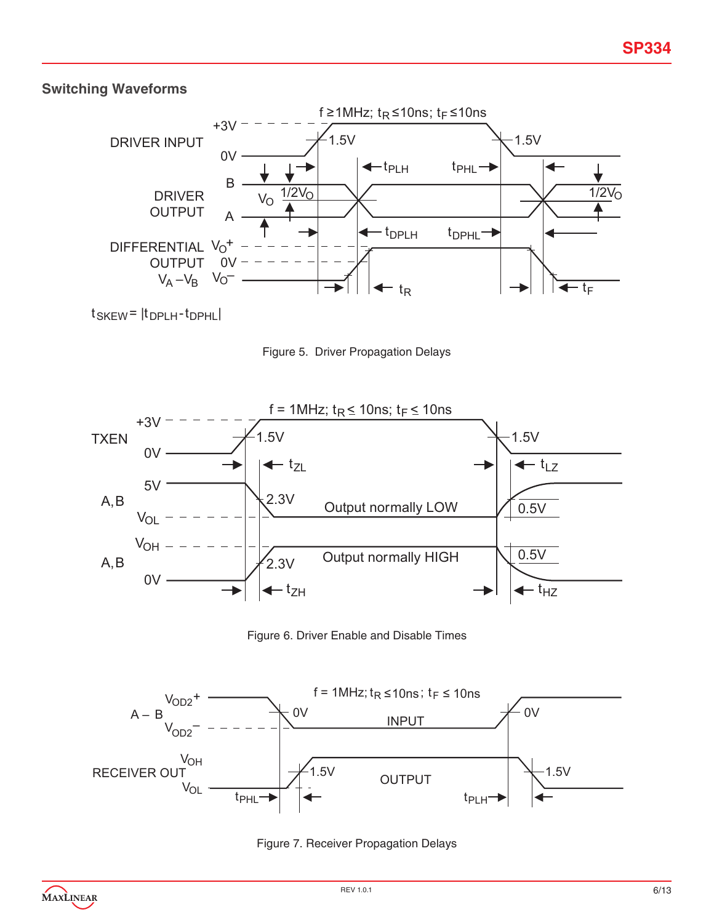# **Switching Waveforms**



 $t$ SKEW =  $|t$ DPLH- $t$ DPHL

Figure 5. Driver Propagation Delays



Figure 6. Driver Enable and Disable Times



Figure 7. Receiver Propagation Delays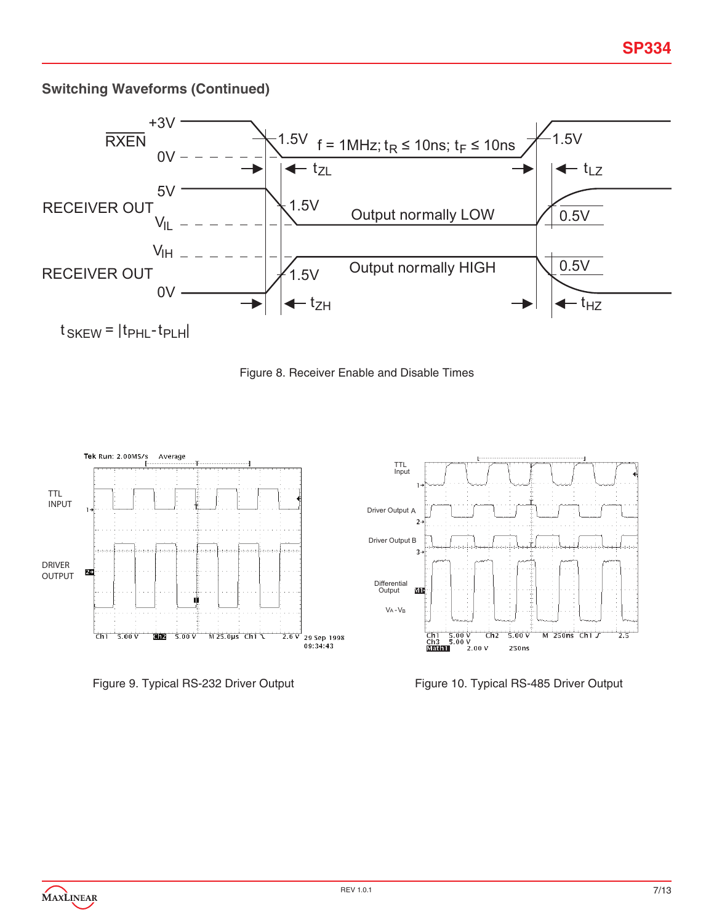# **Switching Waveforms (Continued)**









Figure 9. Typical RS-232 Driver Output Figure 10. Typical RS-485 Driver Output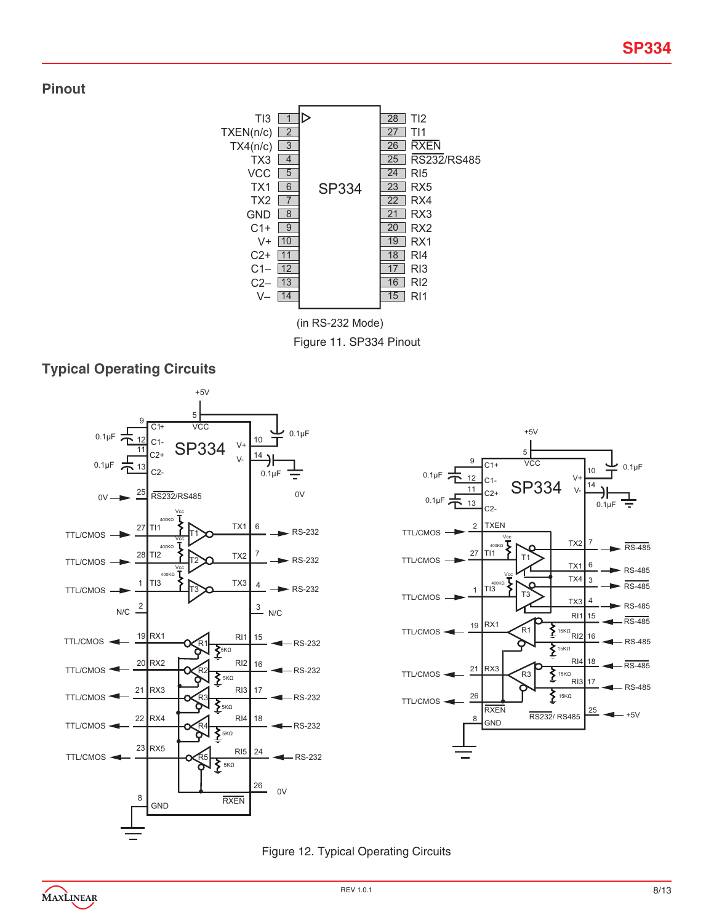## **Pinout**



(in RS-232 Mode)

Figure 11. SP334 Pinout

# **Typical Operating Circuits**





### Figure 12. Typical Operating Circuits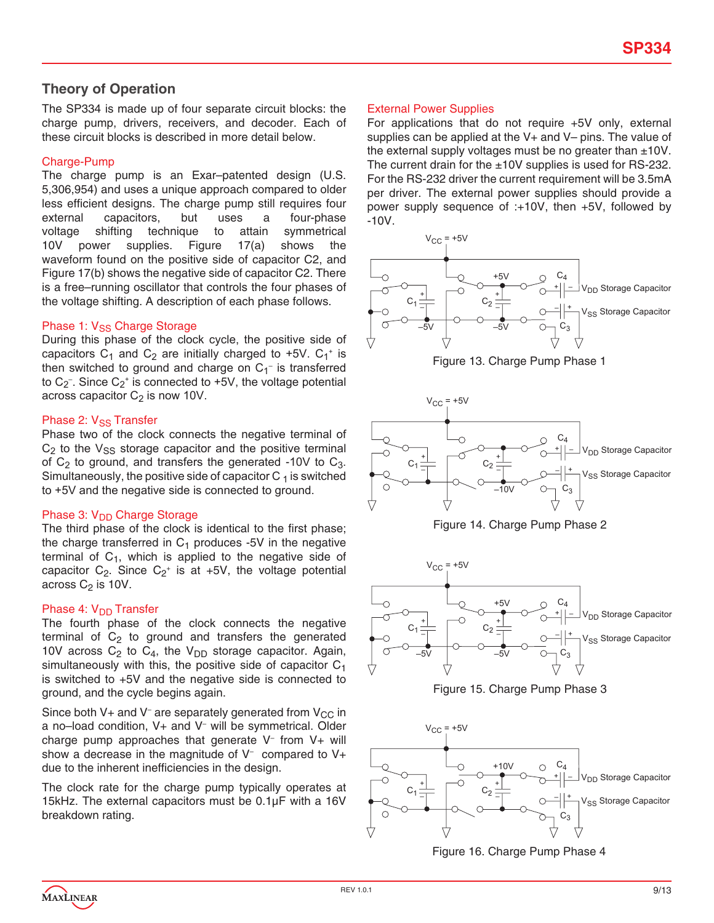## **Theory of Operation**

The SP334 is made up of four separate circuit blocks: the charge pump, drivers, receivers, and decoder. Each of these circuit blocks is described in more detail below.

#### Charge-Pump

The charge pump is an Exar–patented design (U.S. 5,306,954) and uses a unique approach compared to older less efficient designs. The charge pump still requires four external capacitors, but uses a four-phase voltage shifting technique to attain symmetrical 10V power supplies. Figure 17(a) shows the waveform found on the positive side of capacitor C2, and Figure 17(b) shows the negative side of capacitor C2. There is a free–running oscillator that controls the four phases of the voltage shifting. A description of each phase follows.

#### Phase 1: V<sub>SS</sub> Charge Storage

During this phase of the clock cycle, the positive side of capacitors  $C_1$  and  $C_2$  are initially charged to +5V.  $C_1$ <sup>+</sup> is then switched to ground and charge on  $C_1^-$  is transferred to C<sub>2</sub><sup>-</sup>. Since C<sub>2</sub><sup>+</sup> is connected to +5V, the voltage potential across capacitor  $C_2$  is now 10V.

#### Phase 2:  $V_{SS}$  Transfer

Phase two of the clock connects the negative terminal of  $C_2$  to the  $V_{SS}$  storage capacitor and the positive terminal of  $C_2$  to ground, and transfers the generated -10V to  $C_3$ . Simultaneously, the positive side of capacitor  $C_1$  is switched to +5V and the negative side is connected to ground.

#### Phase 3: V<sub>DD</sub> Charge Storage

The third phase of the clock is identical to the first phase; the charge transferred in  $C_1$  produces -5V in the negative terminal of  $C_1$ , which is applied to the negative side of capacitor  $C_2$ . Since  $C_2$ <sup>+</sup> is at +5V, the voltage potential across  $C_2$  is 10V.

#### Phase 4: V<sub>DD</sub> Transfer

The fourth phase of the clock connects the negative terminal of  $C_2$  to ground and transfers the generated 10V across  $C_2$  to  $C_4$ , the V<sub>DD</sub> storage capacitor. Again, simultaneously with this, the positive side of capacitor  $C_1$ is switched to +5V and the negative side is connected to ground, and the cycle begins again.

Since both V+ and V<sup>-</sup> are separately generated from V<sub>CC</sub> in a no–load condition, V+ and V– will be symmetrical. Older charge pump approaches that generate V– from V+ will show a decrease in the magnitude of  $V^-$  compared to  $V^+$ due to the inherent inefficiencies in the design.

The clock rate for the charge pump typically operates at 15kHz. The external capacitors must be 0.1µF with a 16V breakdown rating.

#### External Power Supplies

For applications that do not require +5V only, external supplies can be applied at the V+ and V– pins. The value of the external supply voltages must be no greater than  $\pm 10V$ . The current drain for the  $\pm 10V$  supplies is used for RS-232. For the RS-232 driver the current requirement will be 3.5mA per driver. The external power supplies should provide a power supply sequence of :+10V, then +5V, followed by -10V.













Figure 16. Charge Pump Phase 4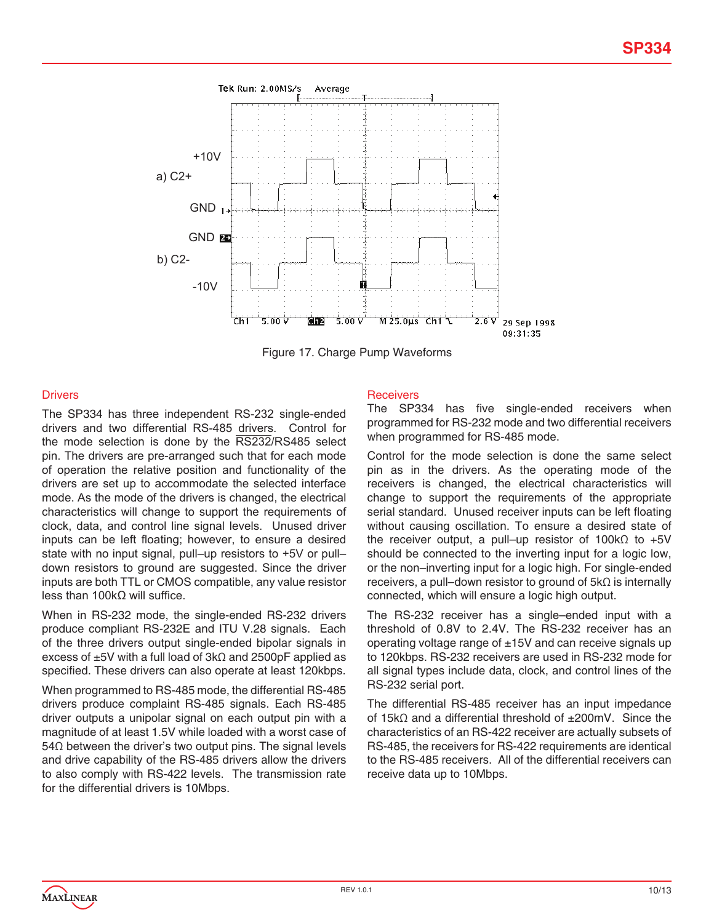

Figure 17. Charge Pump Waveforms

#### **Drivers**

The SP334 has three independent RS-232 single-ended drivers and two differential RS-485 drivers. Control for the mode selection is done by the RS232/RS485 select pin. The drivers are pre-arranged such that for each mode of operation the relative position and functionality of the drivers are set up to accommodate the selected interface mode. As the mode of the drivers is changed, the electrical characteristics will change to support the requirements of clock, data, and control line signal levels. Unused driver inputs can be left floating; however, to ensure a desired state with no input signal, pull–up resistors to +5V or pull– down resistors to ground are suggested. Since the driver inputs are both TTL or CMOS compatible, any value resistor less than 100kΩ will suffice.

When in RS-232 mode, the single-ended RS-232 drivers produce compliant RS-232E and ITU V.28 signals. Each of the three drivers output single-ended bipolar signals in excess of ±5V with a full load of 3kΩ and 2500pF applied as specified. These drivers can also operate at least 120kbps.

When programmed to RS-485 mode, the differential RS-485 drivers produce complaint RS-485 signals. Each RS-485 driver outputs a unipolar signal on each output pin with a magnitude of at least 1.5V while loaded with a worst case of 54Ω between the driver's two output pins. The signal levels and drive capability of the RS-485 drivers allow the drivers to also comply with RS-422 levels. The transmission rate for the differential drivers is 10Mbps.

#### **Receivers**

The SP334 has five single-ended receivers when programmed for RS-232 mode and two differential receivers when programmed for RS-485 mode.

Control for the mode selection is done the same select pin as in the drivers. As the operating mode of the receivers is changed, the electrical characteristics will change to support the requirements of the appropriate serial standard. Unused receiver inputs can be left floating without causing oscillation. To ensure a desired state of the receiver output, a pull–up resistor of 100kΩ to +5V should be connected to the inverting input for a logic low, or the non–inverting input for a logic high. For single-ended receivers, a pull–down resistor to ground of 5kΩ is internally connected, which will ensure a logic high output.

The RS-232 receiver has a single–ended input with a threshold of 0.8V to 2.4V. The RS-232 receiver has an operating voltage range of  $\pm$ 15V and can receive signals up to 120kbps. RS-232 receivers are used in RS-232 mode for all signal types include data, clock, and control lines of the RS-232 serial port.

The differential RS-485 receiver has an input impedance of 15kΩ and a differential threshold of ±200mV. Since the characteristics of an RS-422 receiver are actually subsets of RS-485, the receivers for RS-422 requirements are identical to the RS-485 receivers. All of the differential receivers can receive data up to 10Mbps.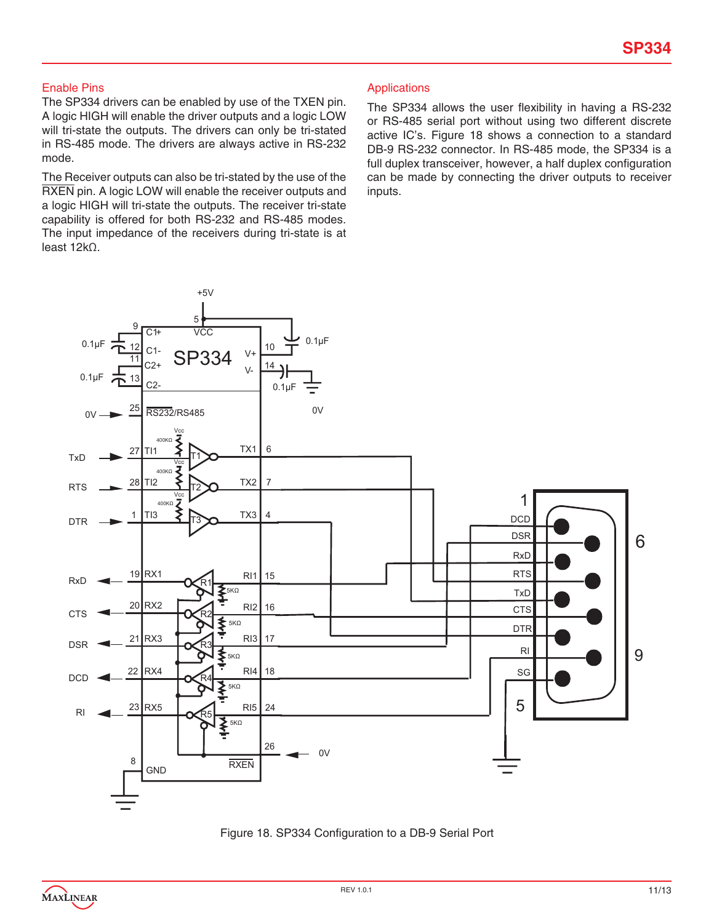#### Enable Pins

The SP334 drivers can be enabled by use of the TXEN pin. A logic HIGH will enable the driver outputs and a logic LOW will tri-state the outputs. The drivers can only be tri-stated in RS-485 mode. The drivers are always active in RS-232 mode.

The Receiver outputs can also be tri-stated by the use of the RXEN pin. A logic LOW will enable the receiver outputs and a logic HIGH will tri-state the outputs. The receiver tri-state capability is offered for both RS-232 and RS-485 modes. The input impedance of the receivers during tri-state is at least 12kΩ.

#### Applications

The SP334 allows the user flexibility in having a RS-232 or RS-485 serial port without using two different discrete active IC's. Figure 18 shows a connection to a standard DB-9 RS-232 connector. In RS-485 mode, the SP334 is a full duplex transceiver, however, a half duplex configuration can be made by connecting the driver outputs to receiver inputs.



Figure 18. SP334 Configuration to a DB-9 Serial Port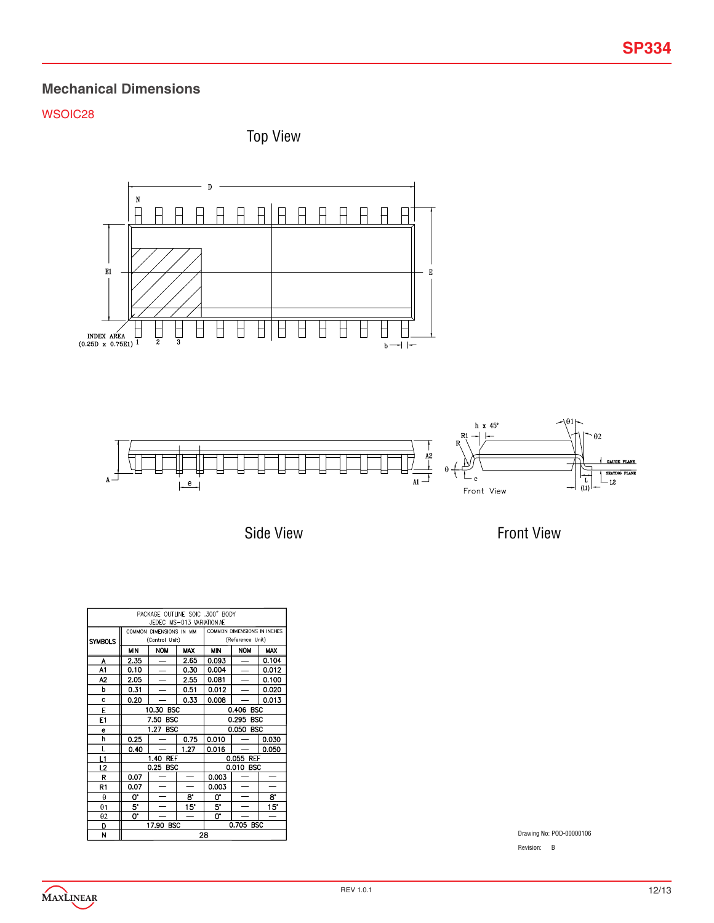## **Mechanical Dimensions**

## WSOIC28

Top View



Side View

Front View

| PACKAGE OUTLINE SOIC .300" BODY<br>JEDEC MS-013 VARIATION AE |                    |                         |            |                             |                          |            |  |
|--------------------------------------------------------------|--------------------|-------------------------|------------|-----------------------------|--------------------------|------------|--|
|                                                              |                    | COMMON DIMENSIONS IN MM |            | COMMON DIMENSIONS IN INCHES |                          |            |  |
| <b>SYMBOLS</b>                                               |                    | (Control Unit)          |            |                             | (Reference Unit)         |            |  |
|                                                              | MIN                | <b>NOM</b>              | <b>MAX</b> | MIN                         | <b>NOM</b>               | <b>MAX</b> |  |
| A                                                            | 2.35               |                         | 2.65       | 0.093                       |                          | 0.104      |  |
| A1                                                           | 0.10               |                         | 0.30       | 0.004                       |                          | 0.012      |  |
| A2                                                           | 2.05               |                         | 2.55       | 0.081                       |                          | 0.100      |  |
| p                                                            | 0.31               |                         | 0.51       | 0.012                       |                          | 0.020      |  |
| c                                                            | 0.20               |                         | 0.33       | 0.008                       |                          | 0.013      |  |
| E                                                            |                    | 10.30 BSC               |            | 0.406 BSC                   |                          |            |  |
| E1                                                           | 7.50<br><b>BSC</b> |                         |            | 0.295 BSC                   |                          |            |  |
| e                                                            |                    | 1.27<br><b>BSC</b>      |            |                             | 0.050 BSC                |            |  |
| h                                                            | 0.25               |                         | 0.75       | 0.010                       |                          | 0.030      |  |
| L                                                            | 0.40               |                         | 1.27       | 0.016                       |                          | 0.050      |  |
| L1                                                           |                    | 1.40 REF                |            | 0.055 REF                   |                          |            |  |
| L2                                                           |                    | 0.25 BSC                |            |                             | 0.010 BSC                |            |  |
| R                                                            | 0.07               |                         |            | 0.003                       |                          |            |  |
| R1                                                           | 0.07               | ═                       |            | 0.003                       |                          |            |  |
| $\theta$                                                     | 0.                 | —                       | 8.         | 0.                          | $\overline{\phantom{0}}$ | 8.         |  |
| $\theta$ 1                                                   | 5.                 |                         | 15°        | 5.                          |                          | 15°        |  |
| $\theta$ 2                                                   | 0.                 |                         |            | $\overline{\mathbf{o}}$ .   |                          |            |  |
| D                                                            | 17.90 BSC          |                         |            |                             | 0.705 BSC                |            |  |
| N                                                            | 28                 |                         |            |                             |                          |            |  |

Drawing No: POD-00000106

Revision: B